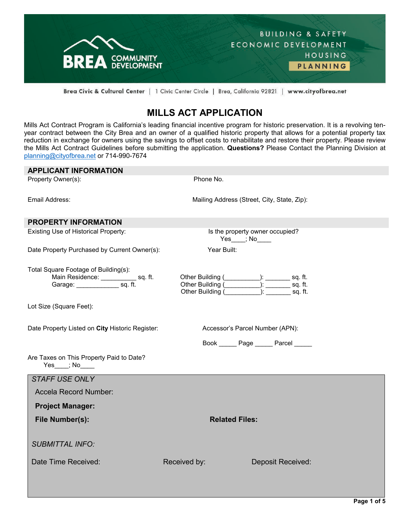

Brea Civic & Cultural Center | 1 Civic Center Circle | Brea, California 92821 | www.cityofbrea.net

# **MILLS ACT APPLICATION**

Mills Act Contract Program is California's leading financial incentive program for historic preservation. It is a revolving tenyear contract between the City Brea and an owner of a qualified historic property that allows for a potential property tax reduction in exchange for owners using the savings to offset costs to rehabilitate and restore their property. Please review the Mills Act Contract Guidelines before submitting the application. **Questions?** Please Contact the Planning Division at [planning@cityofbrea.net](mailto:planning@cityofbrea.net) or 714-990-7674

| <b>APPLICANT INFORMATION</b>                                  |                                                                                                                                                                                                                               |                                             |  |
|---------------------------------------------------------------|-------------------------------------------------------------------------------------------------------------------------------------------------------------------------------------------------------------------------------|---------------------------------------------|--|
| Property Owner(s):                                            | Phone No.                                                                                                                                                                                                                     |                                             |  |
|                                                               |                                                                                                                                                                                                                               |                                             |  |
| Email Address:                                                |                                                                                                                                                                                                                               | Mailing Address (Street, City, State, Zip): |  |
|                                                               |                                                                                                                                                                                                                               |                                             |  |
| <b>PROPERTY INFORMATION</b>                                   |                                                                                                                                                                                                                               |                                             |  |
| Existing Use of Historical Property:                          | $Yes$ ; $No$                                                                                                                                                                                                                  | Is the property owner occupied?             |  |
| Date Property Purchased by Current Owner(s):                  | Year Built:                                                                                                                                                                                                                   |                                             |  |
| Total Square Footage of Building(s):                          |                                                                                                                                                                                                                               |                                             |  |
| Main Residence: sq. ft.<br>Garage: sq. ft.                    |                                                                                                                                                                                                                               |                                             |  |
|                                                               | Other Building ( The Contract of the Contract of the Contract of the Contract of the Contract of the Contract of the Contract of the Contract of the Contract of the Contract of the Contract of the Contract of the Contract |                                             |  |
| Lot Size (Square Feet):                                       |                                                                                                                                                                                                                               |                                             |  |
|                                                               |                                                                                                                                                                                                                               |                                             |  |
| Date Property Listed on City Historic Register:               | Accessor's Parcel Number (APN):                                                                                                                                                                                               |                                             |  |
|                                                               |                                                                                                                                                                                                                               | Book ______ Page ______ Parcel _____        |  |
| Are Taxes on This Property Paid to Date?<br>$Yes$ ; No $\_\_$ |                                                                                                                                                                                                                               |                                             |  |
| <b>STAFF USE ONLY</b>                                         |                                                                                                                                                                                                                               |                                             |  |
| Accela Record Number:                                         |                                                                                                                                                                                                                               |                                             |  |
| <b>Project Manager:</b>                                       |                                                                                                                                                                                                                               |                                             |  |
| File Number(s):                                               | <b>Related Files:</b>                                                                                                                                                                                                         |                                             |  |
|                                                               |                                                                                                                                                                                                                               |                                             |  |
| <b>SUBMITTAL INFO:</b>                                        |                                                                                                                                                                                                                               |                                             |  |
| Date Time Received:                                           | Received by:                                                                                                                                                                                                                  | <b>Deposit Received:</b>                    |  |
|                                                               |                                                                                                                                                                                                                               |                                             |  |
|                                                               |                                                                                                                                                                                                                               |                                             |  |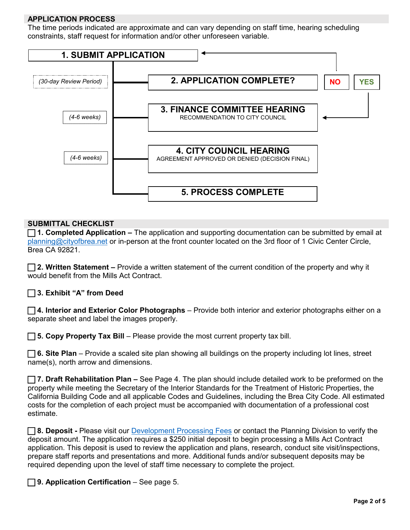### **APPLICATION PROCESS**

The time periods indicated are approximate and can vary depending on staff time, hearing scheduling constraints, staff request for information and/or other unforeseen variable.



#### **SUBMITTAL CHECKLIST**

 **1. Completed Application –** The application and supporting documentation can be submitted by email at [planning@cityofbrea.net](mailto:planning@cityofbrea.net) or in-person at the front counter located on the 3rd floor of 1 Civic Center Circle, Brea CA 92821.

 **2. Written Statement –** Provide a written statement of the current condition of the property and why it would benefit from the Mills Act Contract.

**3. Exhibit "A" from Deed**

 **4. Interior and Exterior Color Photographs** – Provide both interior and exterior photographs either on a separate sheet and label the images properly.

**5. Copy Property Tax Bill** – Please provide the most current property tax bill.

 **6. Site Plan** – Provide a scaled site plan showing all buildings on the property including lot lines, street name(s), north arrow and dimensions.

 **7. Draft Rehabilitation Plan –** See Page 4. The plan should include detailed work to be preformed on the property while meeting the Secretary of the Interior Standards for the Treatment of Historic Properties, the California Building Code and all applicable Codes and Guidelines, including the Brea City Code. All estimated costs for the completion of each project must be accompanied with documentation of a professional cost estimate.

**8. Deposit -** Please visit our [Development Processing Fees](https://www.ci.brea.ca.us/DocumentCenter/View/143/Development-Processing-Fees?bidId=) or contact the Planning Division to verify the deposit amount. The application requires a \$250 initial deposit to begin processing a Mills Act Contract application. This deposit is used to review the application and plans, research, conduct site visit/inspections, prepare staff reports and presentations and more. Additional funds and/or subsequent deposits may be required depending upon the level of staff time necessary to complete the project.

**9. Application Certification** – See page 5.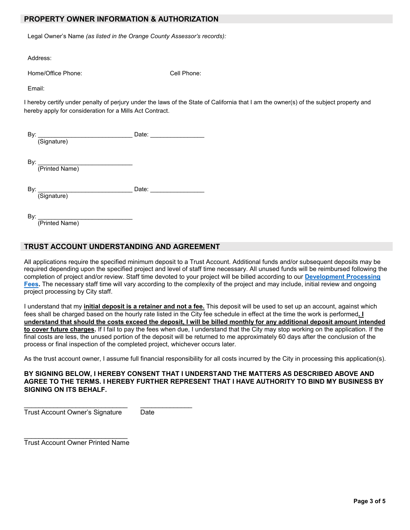#### **PROPERTY OWNER INFORMATION & AUTHORIZATION**

Legal Owner's Name *(as listed in the Orange County Assessor's records):*

Address:

Home/Office Phone: Cell Phone:

Email:

I hereby certify under penalty of perjury under the laws of the State of California that I am the owner(s) of the subject property and hereby apply for consideration for a Mills Act Contract.

| -<br>—<br>o. |  |
|--------------|--|
| ----         |  |

By: \_\_\_\_\_\_\_\_\_\_\_\_\_\_\_\_\_\_\_\_\_\_\_\_\_\_\_\_

(Printed Name)

By: \_\_\_\_\_\_\_\_\_\_\_\_\_\_\_\_\_\_\_\_\_\_\_\_\_\_\_\_ Date: \_\_\_\_\_\_\_\_\_\_\_\_\_\_\_\_

(Signature)

By: \_\_\_\_\_\_\_\_\_\_\_\_\_\_\_\_\_\_\_\_\_\_\_\_\_\_\_\_

(Printed Name)

#### **TRUST ACCOUNT UNDERSTANDING AND AGREEMENT**

All applications require the specified minimum deposit to a Trust Account. Additional funds and/or subsequent deposits may be required depending upon the specified project and level of staff time necessary. All unused funds will be reimbursed following the completion of project and/or review. Staff time devoted to your project will be billed according to our **[Development Processing](https://www.ci.brea.ca.us/138/Fees)  [Fees.](https://www.ci.brea.ca.us/138/Fees)** The necessary staff time will vary according to the complexity of the project and may include, initial review and ongoing project processing by City staff.

I understand that my **initial deposit is a retainer and not a fee.** This deposit will be used to set up an account, against which fees shall be charged based on the hourly rate listed in the City fee schedule in effect at the time the work is performed**. I understand that should the costs exceed the deposit, I will be billed monthly for any additional deposit amount intended to cover future charges.** If I fail to pay the fees when due, I understand that the City may stop working on the application. If the final costs are less, the unused portion of the deposit will be returned to me approximately 60 days after the conclusion of the process or final inspection of the completed project, whichever occurs later.

As the trust account owner, I assume full financial responsibility for all costs incurred by the City in processing this application(s).

#### **BY SIGNING BELOW, I HEREBY CONSENT THAT I UNDERSTAND THE MATTERS AS DESCRIBED ABOVE AND AGREE TO THE TERMS. I HEREBY FURTHER REPRESENT THAT I HAVE AUTHORITY TO BIND MY BUSINESS BY SIGNING ON ITS BEHALF.**

\_\_\_\_\_\_\_\_\_\_\_\_\_\_\_\_\_\_\_\_\_\_\_\_\_\_\_\_ \_\_\_\_\_\_\_\_\_\_\_\_\_\_ Trust Account Owner's Signature Date

\_\_\_\_\_\_\_\_\_\_\_\_\_\_\_\_\_\_\_\_\_\_\_\_\_\_\_\_ Trust Account Owner Printed Name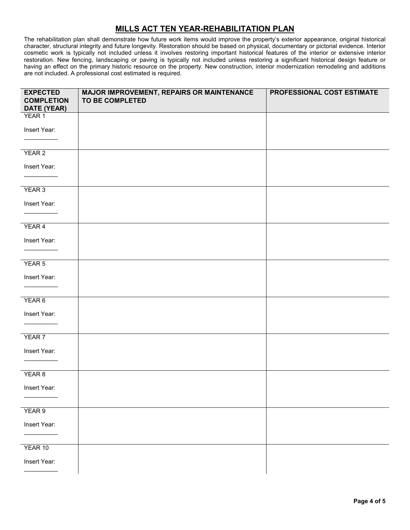# **MILLS ACT TEN YEAR-REHABILITATION PLAN**

The rehabilitation plan shall demonstrate how future work items would improve the property's exterior appearance, original historical character, structural integrity and future longevity. Restoration should be based on physical, documentary or pictorial evidence. Interior cosmetic work is typically not included unless it involves restoring important historical features of the interior or extensive interior restoration. New fencing, landscaping or paving is typically not included unless restoring a significant historical design feature or having an effect on the primary historic resource on the property. New construction, interior modernization remodeling and additions are not included. A professional cost estimated is required.

| <b>EXPECTED</b><br><b>COMPLETION</b><br>DATE (YEAR) | MAJOR IMPROVEMENT, REPAIRS OR MAINTENANCE<br><b>TO BE COMPLETED</b> | PROFESSIONAL COST ESTIMATE |
|-----------------------------------------------------|---------------------------------------------------------------------|----------------------------|
| YEAR 1                                              |                                                                     |                            |
| Insert Year:                                        |                                                                     |                            |
|                                                     |                                                                     |                            |
| YEAR 2                                              |                                                                     |                            |
| Insert Year:                                        |                                                                     |                            |
| YEAR 3                                              |                                                                     |                            |
|                                                     |                                                                     |                            |
| Insert Year:                                        |                                                                     |                            |
| YEAR 4                                              |                                                                     |                            |
| Insert Year:                                        |                                                                     |                            |
|                                                     |                                                                     |                            |
| YEAR 5                                              |                                                                     |                            |
| Insert Year:                                        |                                                                     |                            |
|                                                     |                                                                     |                            |
| YEAR 6                                              |                                                                     |                            |
|                                                     |                                                                     |                            |
| Insert Year:                                        |                                                                     |                            |
|                                                     |                                                                     |                            |
| YEAR 7                                              |                                                                     |                            |
| Insert Year:                                        |                                                                     |                            |
|                                                     |                                                                     |                            |
| YEAR 8                                              |                                                                     |                            |
| Insert Year:                                        |                                                                     |                            |
|                                                     |                                                                     |                            |
| YEAR 9                                              |                                                                     |                            |
| Insert Year:                                        |                                                                     |                            |
|                                                     |                                                                     |                            |
| YEAR 10                                             |                                                                     |                            |
| Insert Year:                                        |                                                                     |                            |
|                                                     |                                                                     |                            |